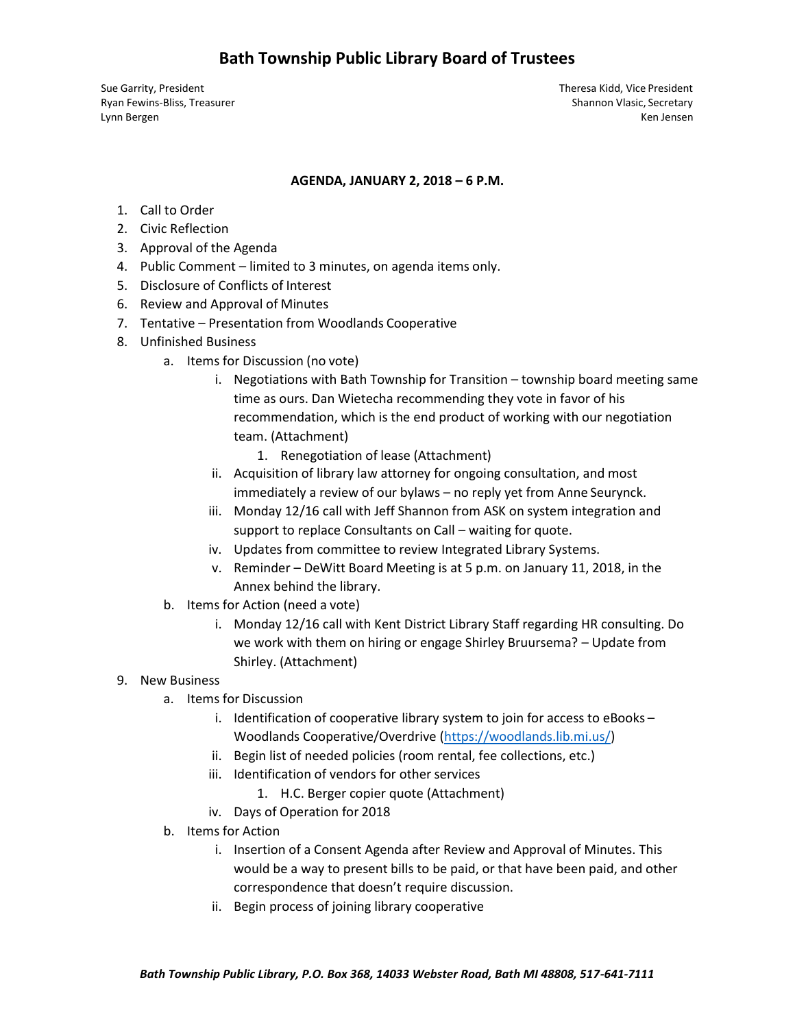Sue Garrity, President Theresa Kidd, Vice President Ryan Fewins-Bliss, Treasurer Shannon Vlasic, Secretary Shannon Vlasic, Secretary Lynn Bergen Ken Jensen Ken Jensen Ken Jensen Ken Jensen Ken Jensen Ken Jensen Ken Jensen Ken Jensen Ken Jensen

#### **AGENDA, JANUARY 2, 2018 – 6 P.M.**

- 1. Call to Order
- 2. Civic Reflection
- 3. Approval of the Agenda
- 4. Public Comment limited to 3 minutes, on agenda items only.
- 5. Disclosure of Conflicts of Interest
- 6. Review and Approval of Minutes
- 7. Tentative Presentation from Woodlands Cooperative
- 8. Unfinished Business
	- a. Items for Discussion (no vote)
		- i. Negotiations with Bath Township for Transition township board meeting same time as ours. Dan Wietecha recommending they vote in favor of his recommendation, which is the end product of working with our negotiation team. (Attachment)
			- 1. Renegotiation of lease (Attachment)
		- ii. Acquisition of library law attorney for ongoing consultation, and most immediately a review of our bylaws – no reply yet from Anne Seurynck.
		- iii. Monday 12/16 call with Jeff Shannon from ASK on system integration and support to replace Consultants on Call – waiting for quote.
		- iv. Updates from committee to review Integrated Library Systems.
		- v. Reminder DeWitt Board Meeting is at 5 p.m. on January 11, 2018, in the Annex behind the library.
	- b. Items for Action (need a vote)
		- i. Monday 12/16 call with Kent District Library Staff regarding HR consulting. Do we work with them on hiring or engage Shirley Bruursema? – Update from Shirley. (Attachment)

#### 9. New Business

- a. Items for Discussion
	- i. Identification of cooperative library system to join for access to eBooks Woodlands Cooperative/Overdrive [\(https://woodlands.lib.mi.us/\)](https://woodlands.lib.mi.us/)
	- ii. Begin list of needed policies (room rental, fee collections, etc.)
	- iii. Identification of vendors for other services
		- 1. H.C. Berger copier quote (Attachment)
	- iv. Days of Operation for 2018
- b. Items for Action
	- i. Insertion of a Consent Agenda after Review and Approval of Minutes. This would be a way to present bills to be paid, or that have been paid, and other correspondence that doesn't require discussion.
	- ii. Begin process of joining library cooperative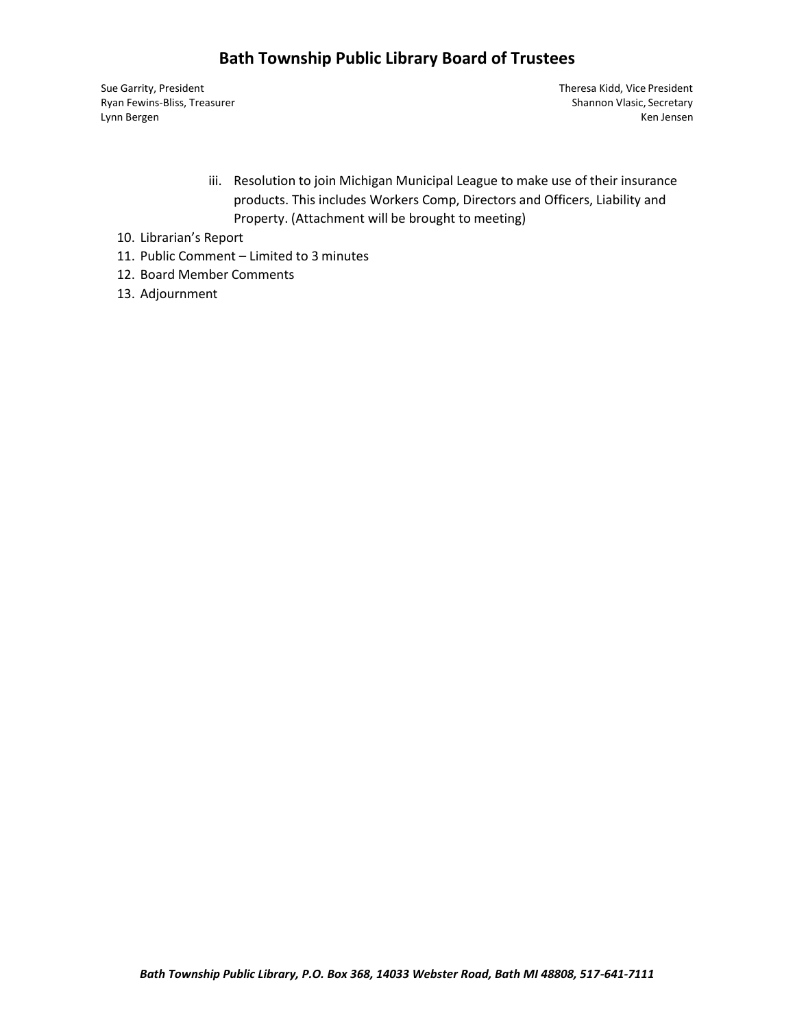# **Bath Township Public Library Board of Trustees**

Sue Garrity, President Theresa Kidd, Vice President

Ryan Fewins-Bliss, Treasurer Shannon Vlasic, Secretary Shannon Vlasic, Secretary Lynn Bergen Ken Jensen Ken Jensen Ken Jensen Ken Jensen Ken Jensen Ken Jensen Ken Jensen Ken Jensen Ken Jensen

- iii. Resolution to join Michigan Municipal League to make use of their insurance products. This includes Workers Comp, Directors and Officers, Liability and Property. (Attachment will be brought to meeting)
- 10. Librarian's Report
- 11. Public Comment Limited to 3 minutes
- 12. Board Member Comments
- 13. Adjournment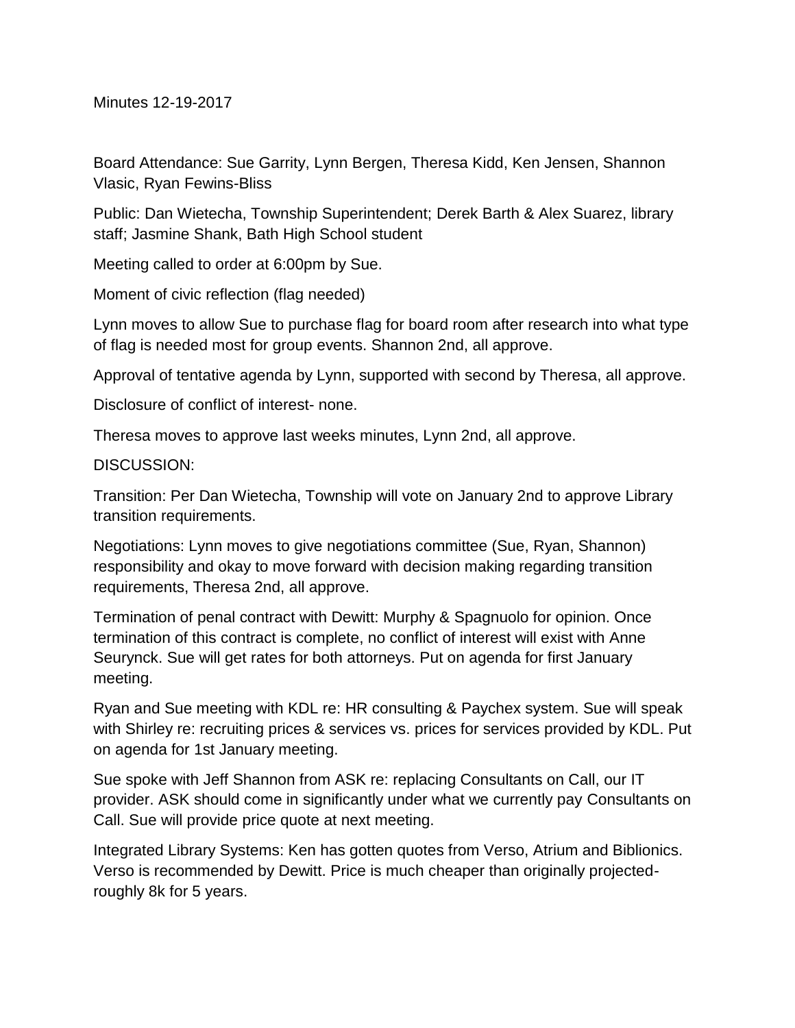Minutes 12-19-2017

Board Attendance: Sue Garrity, Lynn Bergen, Theresa Kidd, Ken Jensen, Shannon Vlasic, Ryan Fewins-Bliss

Public: Dan Wietecha, Township Superintendent; Derek Barth & Alex Suarez, library staff; Jasmine Shank, Bath High School student

Meeting called to order at 6:00pm by Sue.

Moment of civic reflection (flag needed)

Lynn moves to allow Sue to purchase flag for board room after research into what type of flag is needed most for group events. Shannon 2nd, all approve.

Approval of tentative agenda by Lynn, supported with second by Theresa, all approve.

Disclosure of conflict of interest- none.

Theresa moves to approve last weeks minutes, Lynn 2nd, all approve.

DISCUSSION:

Transition: Per Dan Wietecha, Township will vote on January 2nd to approve Library transition requirements.

Negotiations: Lynn moves to give negotiations committee (Sue, Ryan, Shannon) responsibility and okay to move forward with decision making regarding transition requirements, Theresa 2nd, all approve.

Termination of penal contract with Dewitt: Murphy & Spagnuolo for opinion. Once termination of this contract is complete, no conflict of interest will exist with Anne Seurynck. Sue will get rates for both attorneys. Put on agenda for first January meeting.

Ryan and Sue meeting with KDL re: HR consulting & Paychex system. Sue will speak with Shirley re: recruiting prices & services vs. prices for services provided by KDL. Put on agenda for 1st January meeting.

Sue spoke with Jeff Shannon from ASK re: replacing Consultants on Call, our IT provider. ASK should come in significantly under what we currently pay Consultants on Call. Sue will provide price quote at next meeting.

Integrated Library Systems: Ken has gotten quotes from Verso, Atrium and Biblionics. Verso is recommended by Dewitt. Price is much cheaper than originally projectedroughly 8k for 5 years.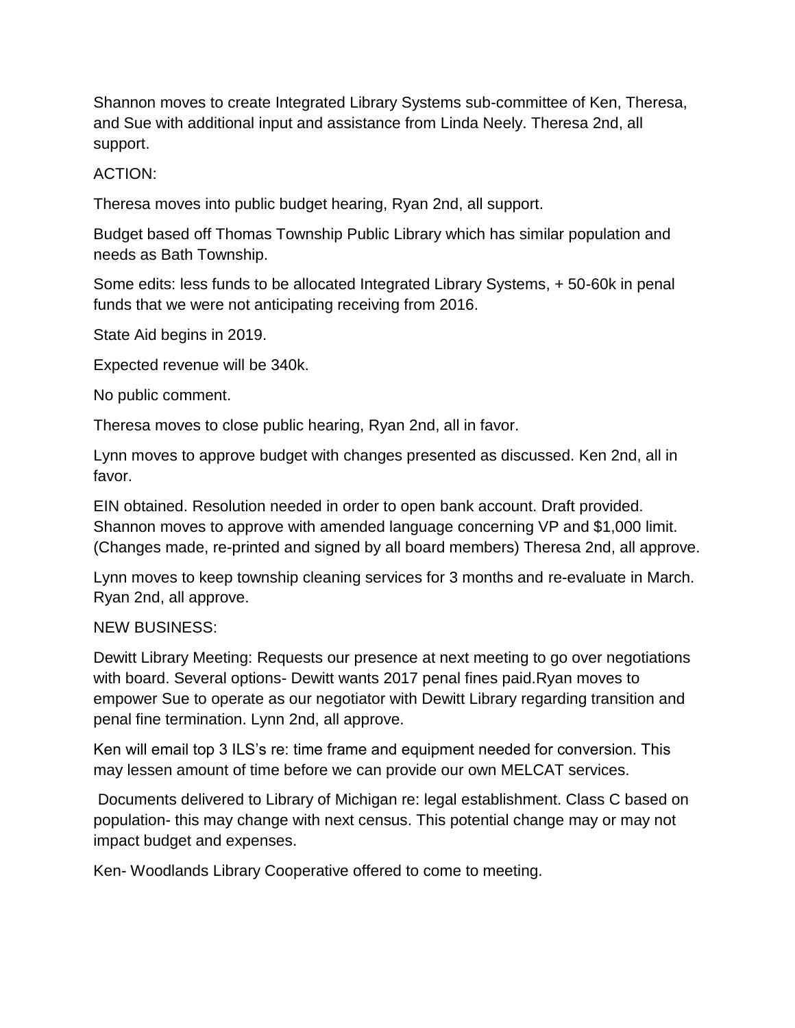Shannon moves to create Integrated Library Systems sub-committee of Ken, Theresa, and Sue with additional input and assistance from Linda Neely. Theresa 2nd, all support.

## ACTION:

Theresa moves into public budget hearing, Ryan 2nd, all support.

Budget based off Thomas Township Public Library which has similar population and needs as Bath Township.

Some edits: less funds to be allocated Integrated Library Systems, + 50-60k in penal funds that we were not anticipating receiving from 2016.

State Aid begins in 2019.

Expected revenue will be 340k.

No public comment.

Theresa moves to close public hearing, Ryan 2nd, all in favor.

Lynn moves to approve budget with changes presented as discussed. Ken 2nd, all in favor.

EIN obtained. Resolution needed in order to open bank account. Draft provided. Shannon moves to approve with amended language concerning VP and \$1,000 limit. (Changes made, re-printed and signed by all board members) Theresa 2nd, all approve.

Lynn moves to keep township cleaning services for 3 months and re-evaluate in March. Ryan 2nd, all approve.

#### NEW BUSINESS:

Dewitt Library Meeting: Requests our presence at next meeting to go over negotiations with board. Several options- Dewitt wants 2017 penal fines paid.Ryan moves to empower Sue to operate as our negotiator with Dewitt Library regarding transition and penal fine termination. Lynn 2nd, all approve.

Ken will email top 3 ILS's re: time frame and equipment needed for conversion. This may lessen amount of time before we can provide our own MELCAT services.

Documents delivered to Library of Michigan re: legal establishment. Class C based on population- this may change with next census. This potential change may or may not impact budget and expenses.

Ken- Woodlands Library Cooperative offered to come to meeting.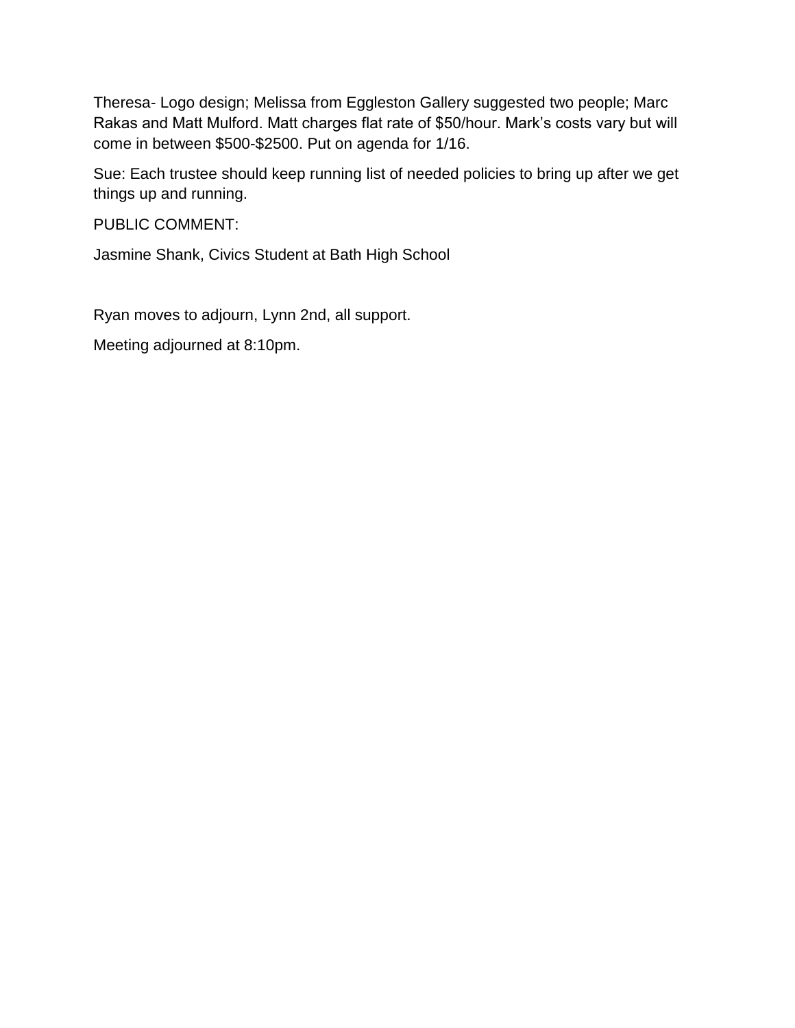Theresa- Logo design; Melissa from Eggleston Gallery suggested two people; Marc Rakas and Matt Mulford. Matt charges flat rate of \$50/hour. Mark's costs vary but will come in between \$500-\$2500. Put on agenda for 1/16.

Sue: Each trustee should keep running list of needed policies to bring up after we get things up and running.

PUBLIC COMMENT:

Jasmine Shank, Civics Student at Bath High School

Ryan moves to adjourn, Lynn 2nd, all support.

Meeting adjourned at 8:10pm.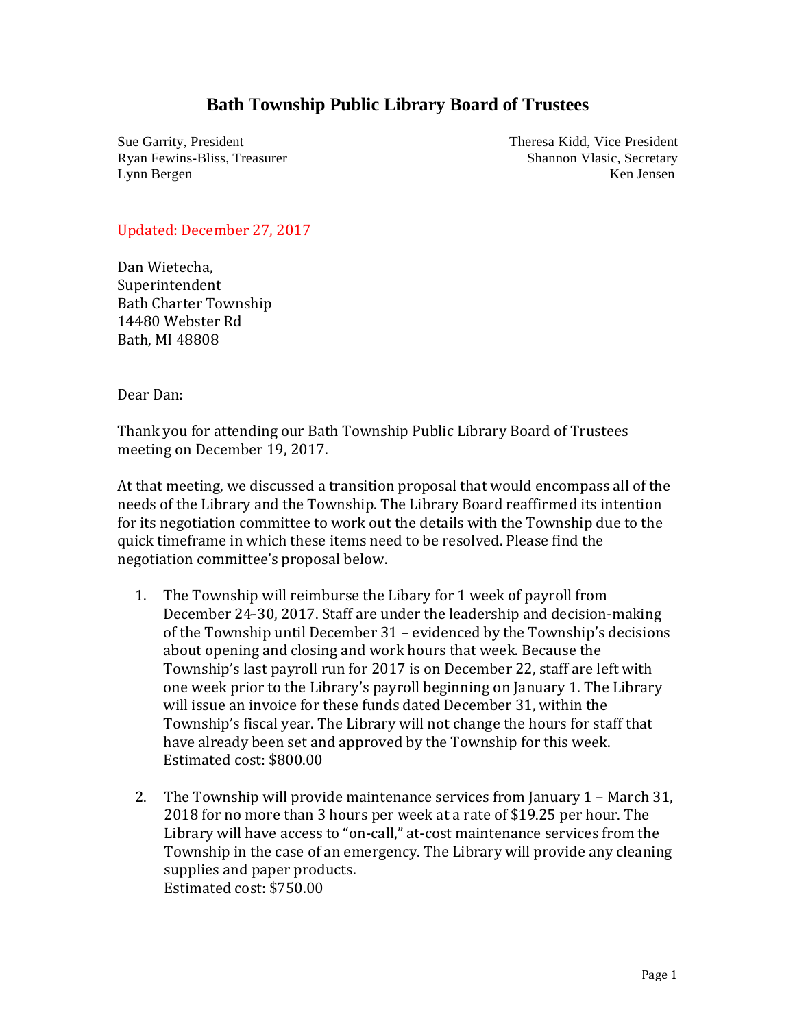# **Bath Township Public Library Board of Trustees**

Sue Garrity, President Theresa Kidd, Vice President Ryan Fewins-Bliss, Treasurer Shannon Vlasic, Secretary Shannon Vlasic, Secretary Lynn Bergen Ken Jensen Ken Jensen Ken Jensen Ken Jensen Ken Jensen Ken Jensen Ken Jensen Ken Jensen Ken Jensen

#### Updated: December 27, 2017

Dan Wietecha, Superintendent Bath Charter Township 14480 Webster Rd Bath, MI 48808

Dear Dan:

Thank you for attending our Bath Township Public Library Board of Trustees meeting on December 19, 2017.

At that meeting, we discussed a transition proposal that would encompass all of the needs of the Library and the Township. The Library Board reaffirmed its intention for its negotiation committee to work out the details with the Township due to the quick timeframe in which these items need to be resolved. Please find the negotiation committee's proposal below.

- 1. The Township will reimburse the Libary for 1 week of payroll from December 24-30, 2017. Staff are under the leadership and decision-making of the Township until December 31 – evidenced by the Township's decisions about opening and closing and work hours that week. Because the Township's last payroll run for 2017 is on December 22, staff are left with one week prior to the Library's payroll beginning on January 1. The Library will issue an invoice for these funds dated December 31, within the Township's fiscal year. The Library will not change the hours for staff that have already been set and approved by the Township for this week. Estimated cost: \$800.00
- 2. The Township will provide maintenance services from January 1 March 31, 2018 for no more than 3 hours per week at a rate of \$19.25 per hour. The Library will have access to "on-call," at-cost maintenance services from the Township in the case of an emergency. The Library will provide any cleaning supplies and paper products. Estimated cost: \$750.00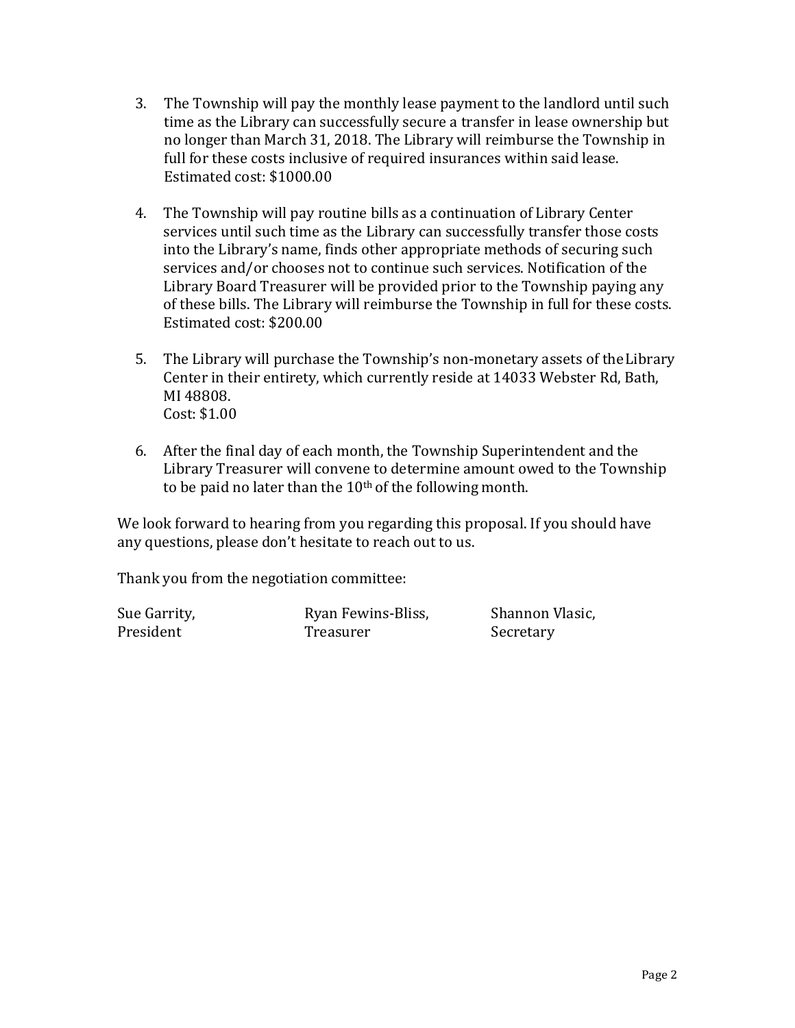- 3. The Township will pay the monthly lease payment to the landlord until such time as the Library can successfully secure a transfer in lease ownership but no longer than March 31, 2018. The Library will reimburse the Township in full for these costs inclusive of required insurances within said lease. Estimated cost: \$1000.00
- 4. The Township will pay routine bills as a continuation of Library Center services until such time as the Library can successfully transfer those costs into the Library's name, finds other appropriate methods of securing such services and/or chooses not to continue such services. Notification of the Library Board Treasurer will be provided prior to the Township paying any of these bills. The Library will reimburse the Township in full for these costs. Estimated cost: \$200.00
- 5. The Library will purchase the Township's non-monetary assets of theLibrary Center in their entirety, which currently reside at 14033 Webster Rd, Bath, MI 48808. Cost: \$1.00
- 6. After the final day of each month, the Township Superintendent and the Library Treasurer will convene to determine amount owed to the Township to be paid no later than the  $10<sup>th</sup>$  of the following month.

We look forward to hearing from you regarding this proposal. If you should have any questions, please don't hesitate to reach out to us.

Thank you from the negotiation committee:

Sue Garrity, The Ryan Fewins-Bliss, Shannon Vlasic, President Treasurer Secretary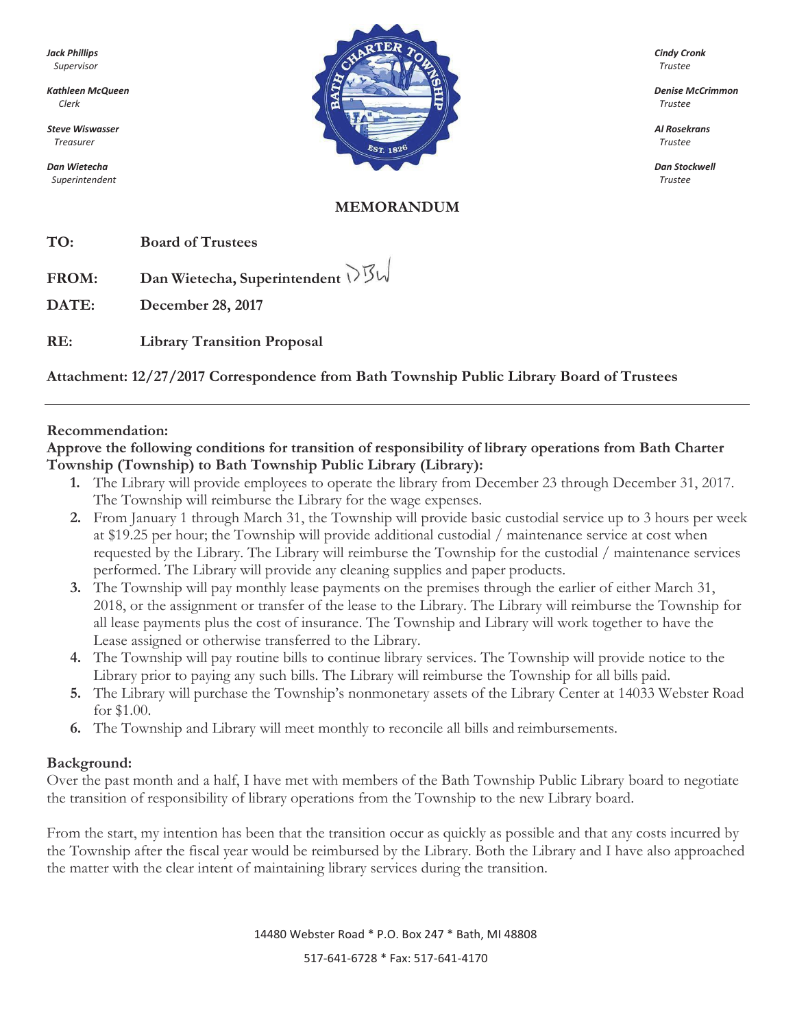*Superintendent Trustee*



#### **MEMORANDUM**

**TO: Board of Trustees**

**FROM: Dan Wietecha, Superintendent**

**DATE: December 28, 2017**

**RE: Library Transition Proposal**

## **Attachment: 12/27/2017 Correspondence from Bath Township Public Library Board of Trustees**

#### **Recommendation:**

**Approve the following conditions for transition of responsibility of library operations from Bath Charter Township (Township) to Bath Township Public Library (Library):**

- **1.** The Library will provide employees to operate the library from December 23 through December 31, 2017. The Township will reimburse the Library for the wage expenses.
- **2.** From January 1 through March 31, the Township will provide basic custodial service up to 3 hours per week at \$19.25 per hour; the Township will provide additional custodial / maintenance service at cost when requested by the Library. The Library will reimburse the Township for the custodial / maintenance services performed. The Library will provide any cleaning supplies and paper products.
- **3.** The Township will pay monthly lease payments on the premises through the earlier of either March 31, 2018, or the assignment or transfer of the lease to the Library. The Library will reimburse the Township for all lease payments plus the cost of insurance. The Township and Library will work together to have the Lease assigned or otherwise transferred to the Library.
- **4.** The Township will pay routine bills to continue library services. The Township will provide notice to the Library prior to paying any such bills. The Library will reimburse the Township for all bills paid.
- **5.** The Library will purchase the Township's nonmonetary assets of the Library Center at 14033 Webster Road for \$1.00.
- **6.** The Township and Library will meet monthly to reconcile all bills and reimbursements.

#### **Background:**

Over the past month and a half, I have met with members of the Bath Township Public Library board to negotiate the transition of responsibility of library operations from the Township to the new Library board.

From the start, my intention has been that the transition occur as quickly as possible and that any costs incurred by the Township after the fiscal year would be reimbursed by the Library. Both the Library and I have also approached the matter with the clear intent of maintaining library services during the transition.

14480 Webster Road \* P.O. Box 247 \* Bath, MI 48808

517-641-6728 \* Fax: 517-641-4170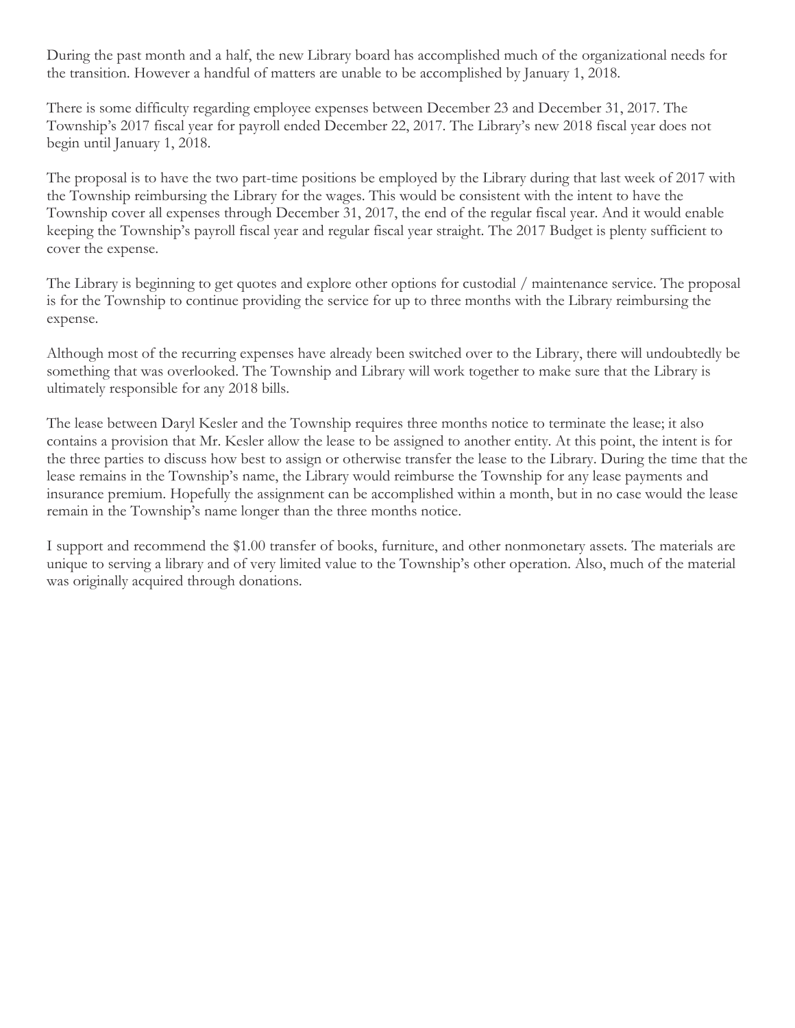During the past month and a half, the new Library board has accomplished much of the organizational needs for the transition. However a handful of matters are unable to be accomplished by January 1, 2018.

There is some difficulty regarding employee expenses between December 23 and December 31, 2017. The Township's 2017 fiscal year for payroll ended December 22, 2017. The Library's new 2018 fiscal year does not begin until January 1, 2018.

The proposal is to have the two part-time positions be employed by the Library during that last week of 2017 with the Township reimbursing the Library for the wages. This would be consistent with the intent to have the Township cover all expenses through December 31, 2017, the end of the regular fiscal year. And it would enable keeping the Township's payroll fiscal year and regular fiscal year straight. The 2017 Budget is plenty sufficient to cover the expense.

The Library is beginning to get quotes and explore other options for custodial / maintenance service. The proposal is for the Township to continue providing the service for up to three months with the Library reimbursing the expense.

Although most of the recurring expenses have already been switched over to the Library, there will undoubtedly be something that was overlooked. The Township and Library will work together to make sure that the Library is ultimately responsible for any 2018 bills.

The lease between Daryl Kesler and the Township requires three months notice to terminate the lease; it also contains a provision that Mr. Kesler allow the lease to be assigned to another entity. At this point, the intent is for the three parties to discuss how best to assign or otherwise transfer the lease to the Library. During the time that the lease remains in the Township's name, the Library would reimburse the Township for any lease payments and insurance premium. Hopefully the assignment can be accomplished within a month, but in no case would the lease remain in the Township's name longer than the three months notice.

I support and recommend the \$1.00 transfer of books, furniture, and other nonmonetary assets. The materials are unique to serving a library and of very limited value to the Township's other operation. Also, much of the material was originally acquired through donations.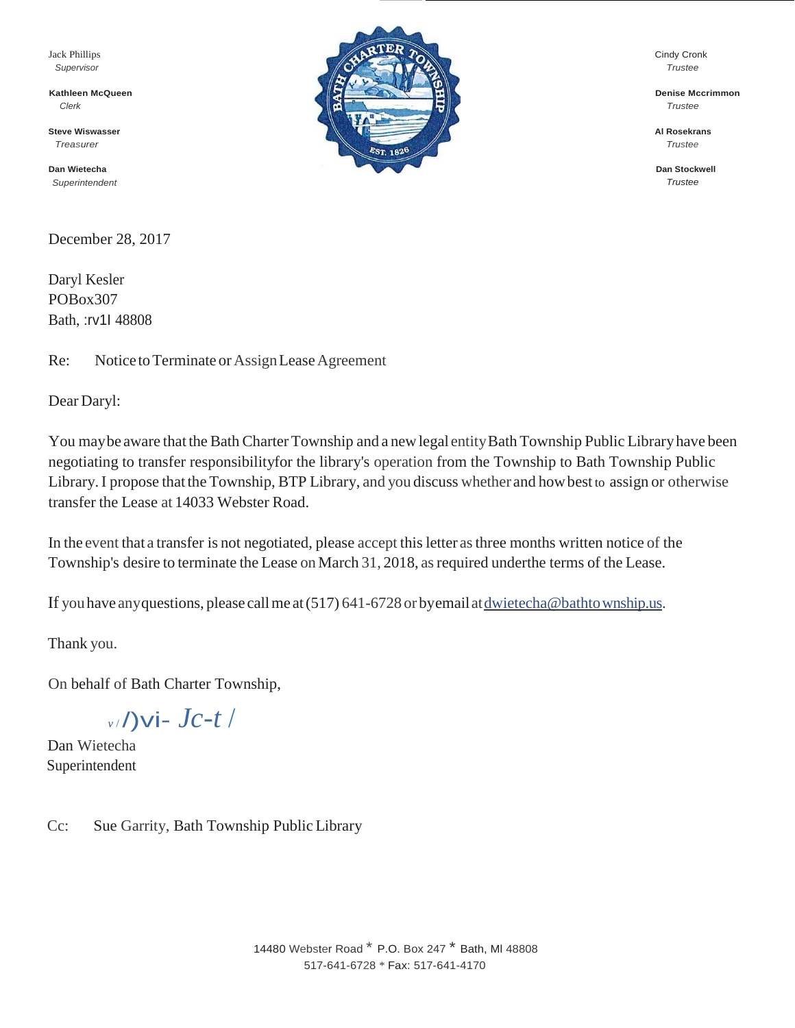Jack Phillips *Supervisor*

**Kathleen McQueen** *Clerk*

**Steve Wiswasser** *Treasurer*

**Dan Wietecha** *Superintendent*

December 28, 2017

Daryl Kesler POBox307 Bath, :rv1I 48808

Re: Notice to Terminate or Assign Lease Agreement

Dear Daryl:

You may be aware that the Bath Charter Township and a new legal entity Bath Township Public Library have been negotiating to transfer responsibilityfor the library's operation from the Township to Bath Township Public Library.I propose that the Township, BTP Library, and you discuss whether and howbest to assign or otherwise transfer the Lease at 14033 Webster Road.

In the event that a transfer is not negotiated, please accept this letter as three months written notice of the Township's desire to terminate the Lease on March 31, 2018, as required underthe terms of the Lease.

If you have any questions, please call me at  $(517)$  641-6728 or byemail at <u>dwietecha@bathtownship.us</u>.

Thank you.

On behalf of Bath Charter Township,

*<sup>v</sup>*/ /)vi- *Jc-t* /

Dan Wietecha Superintendent

Cc: Sue Garrity, Bath Township Public Library



Cindy Cronk *Trustee*

**Denise Mccrimmon** *Trustee*

**Al Rosekrans** *Trustee*

**Dan Stockwell** *Trustee*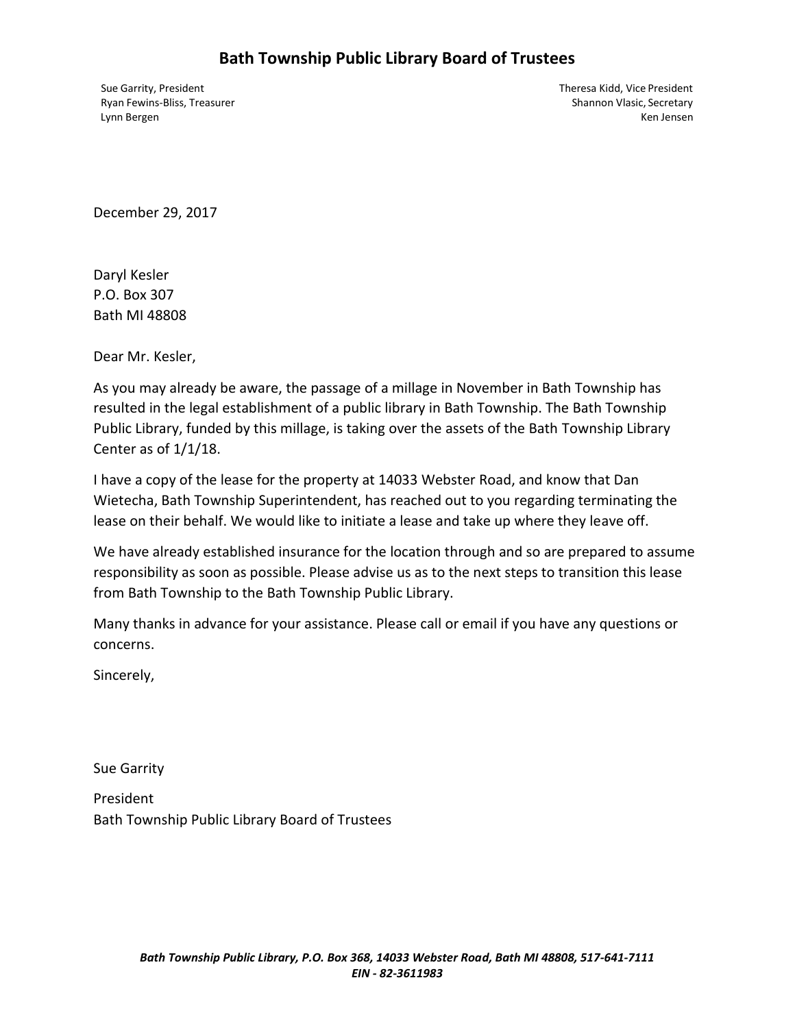# **Bath Township Public Library Board of Trustees**

Sue Garrity, President Theresa Kidd, Vice President Ryan Fewins-Bliss, Treasurer Shannon Vlasic, Secretary Shannon Vlasic, Secretary Lynn Bergen Ken Jensen Ken Jensen Ken Jensen Ken Jensen Ken Jensen Ken Jensen Ken Jensen Ken Jensen Ken Jensen

December 29, 2017

Daryl Kesler P.O. Box 307 Bath MI 48808

Dear Mr. Kesler,

As you may already be aware, the passage of a millage in November in Bath Township has resulted in the legal establishment of a public library in Bath Township. The Bath Township Public Library, funded by this millage, is taking over the assets of the Bath Township Library Center as of 1/1/18.

I have a copy of the lease for the property at 14033 Webster Road, and know that Dan Wietecha, Bath Township Superintendent, has reached out to you regarding terminating the lease on their behalf. We would like to initiate a lease and take up where they leave off.

We have already established insurance for the location through and so are prepared to assume responsibility as soon as possible. Please advise us as to the next steps to transition this lease from Bath Township to the Bath Township Public Library.

Many thanks in advance for your assistance. Please call or email if you have any questions or concerns.

Sincerely,

Sue Garrity

President Bath Township Public Library Board of Trustees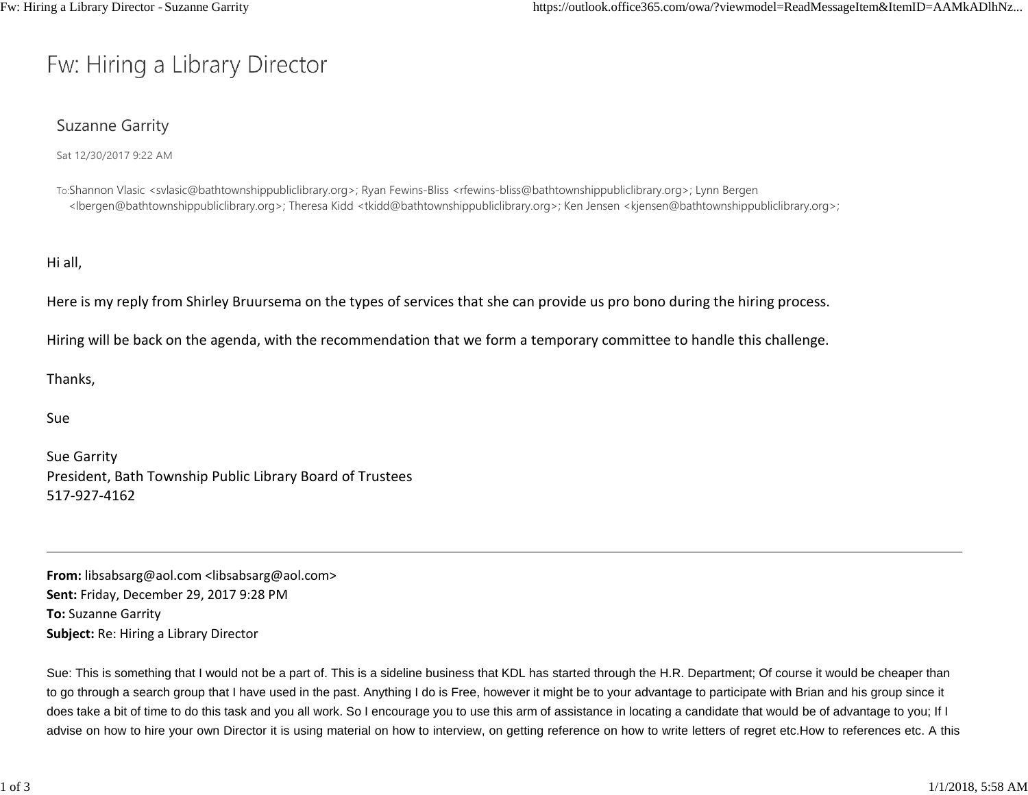# Fw: Hiring a Library Director

## Suzanne Garrity

Sat 12/30/2017 9:22 AM

To:Shannon Vlasic [<svlasic@bathtownshippubliclibrary.org>; R](mailto:svlasic@bathtownshippubliclibrary.org)yan Fewins-Bliss [<rfewins-bliss@bathtownshippubliclibrary.org>; L](mailto:rfewins-bliss@bathtownshippubliclibrary.org)ynn Bergen [<lbergen@bathtownshippubliclibrary.org>; T](mailto:lbergen@bathtownshippubliclibrary.org)heresa Kidd [<tkidd@bathtownshippubliclibrary.org>; K](mailto:tkidd@bathtownshippubliclibrary.org)en Jensen [<kjensen@bathtownshippubliclibrary.org>](mailto:kjensen@bathtownshippubliclibrary.org);

Hi all,

Here is my reply from Shirley Bruursema on the types of services that she can provide us pro bono during the hiring process.

Hiring will be back on the agenda, with the recommendation that we form a temporary committee to handle this challenge.

Thanks,

Sue

Sue Garrity President, Bath Township Public Library Board of Trustees 517‐927‐4162

**From:** [libsabsarg@aol.com <libsabsarg@aol.com>](mailto:libsabsarg@aol.com) **Sent:** Friday, December 29, 2017 9:28 PM **To:** Suzanne Garrity **Subject:** Re: Hiring a Library Director

Sue: This is something that I would not be a part of. This is a sideline business that KDL has started through the H.R. Department; Of course it would be cheaper than to go through a search group that I have used in the past. Anything I do is Free, however it might be to your advantage to participate with Brian and his group since it does take a bit of time to do this task and you all work. So I encourage you to use this arm of assistance in locating a candidate that would be of advantage to you; If I advise on how to hire your own Director it is using material on how to interview, on getting reference on how to write letters of regret etc.How to references etc. A this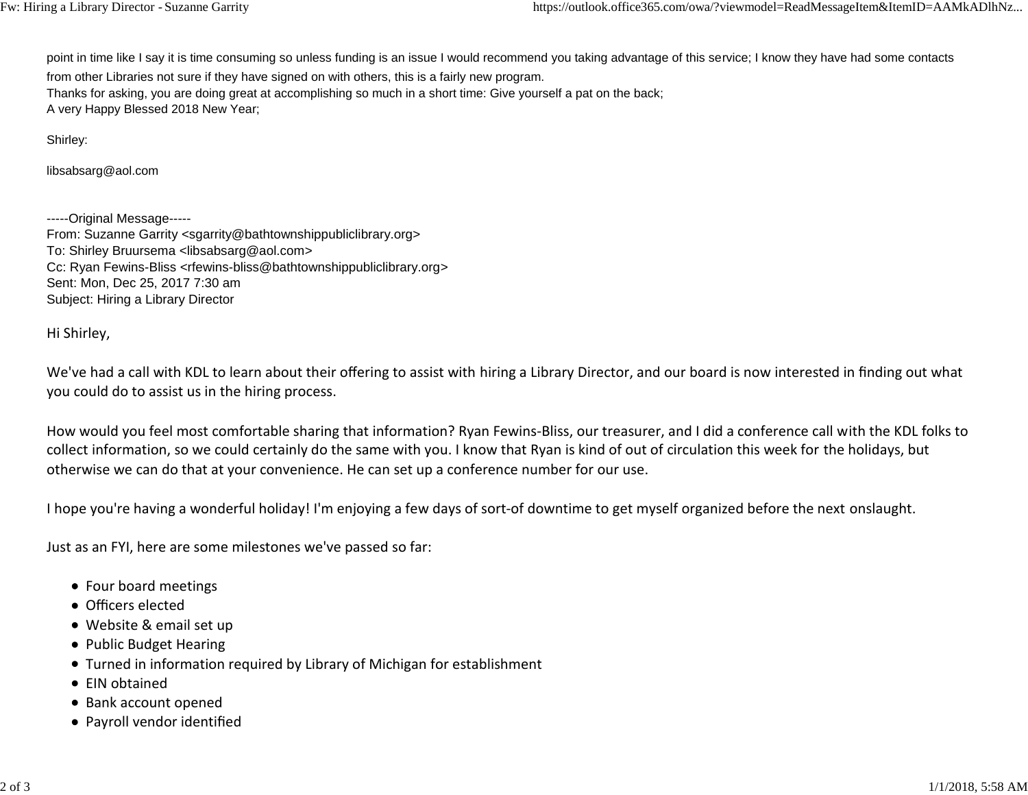point in time like I say it is time consuming so unless funding is an issue I would recommend you taking advantage of this service; I know they have had some contacts

from other Libraries not sure if they have signed on with others, this is a fairly new program.

Thanks for asking, you are doing great at accomplishing so much in a short time: Give yourself a pat on the back; A very Happy Blessed 2018 New Year;

Shirley:

[libsabsarg@aol.com](mailto:libsabsarg@aol.com)

-----Original Message-----

From: Suzanne Garrity [<sgarrity@bathtownshippubliclibrary.org>](mailto:sgarrity@bathtownshippubliclibrary.org) To: Shirley Bruursema [<libsabsarg@aol.com>](mailto:libsabsarg@aol.com) Cc: Ryan Fewins-Bliss [<rfewins-bliss@bathtownshippubliclibrary.org>](mailto:rfewins-bliss@bathtownshippubliclibrary.org) Sent: Mon, Dec 25, 2017 7:30 am Subject: Hiring a Library Director

Hi Shirley,

We've had a call with KDL to learn about their offering to assist with hiring a Library Director, and our board is now interested in finding out what you could do to assist us in the hiring process.

How would you feel most comfortable sharing that information? Ryan Fewins‐Bliss, our treasurer, and I did a conference call with the KDL folks to collect information, so we could certainly do the same with you. I know that Ryan is kind of out of circulation this week for the holidays, but otherwise we can do that at your convenience. He can set up a conference number for our use.

I hope you're having a wonderful holiday! I'm enjoying a few days of sort‐of downtime to get myself organized before the next onslaught.

Just as an FYI, here are some milestones we've passed so far:

- Four board meetings
- Officers elected
- Website & email set up
- Public Budget Hearing
- Turned in information required by Library of Michigan for establishment
- EIN obtained
- Bank account opened
- Payroll vendor identified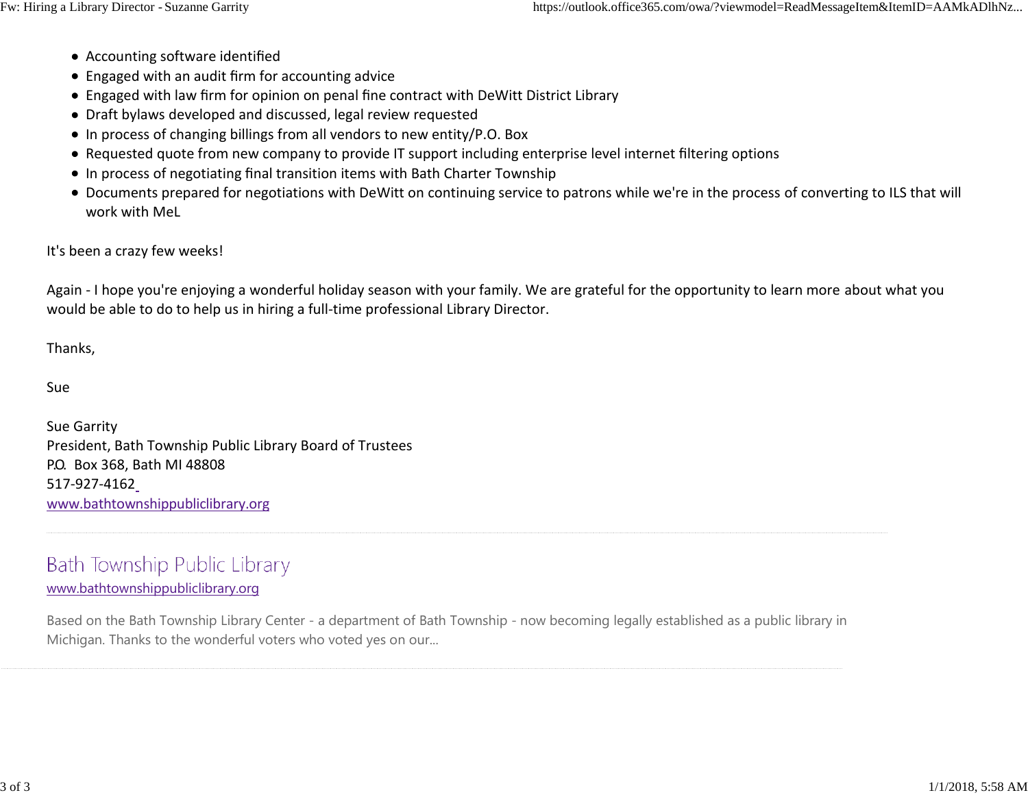- Accounting software identified
- Engaged with an audit firm for accounting advice
- Engaged with law firm for opinion on penal fine contract with DeWitt District Library
- Draft bylaws developed and discussed, legal review requested
- In process of changing billings from all vendors to new entity/P.O. Box
- Requested quote from new company to provide IT support including enterprise level internet filtering options
- In process of negotiating final transition items with Bath Charter Township
- Documents prepared for negotiations with DeWitt on continuing service to patrons while we're in the process of converting to ILS that will work with MeL

## It's been a crazy few weeks!

Again - I hope you're enjoying a wonderful holiday season with your family. We are grateful for the opportunity to learn more about what you would be able to do to help us in hiring a full-time professional Library Director.

Thanks,

Sue

Sue Garrity President, Bath Township Public Library Board of Trustees P.O. Box 368, Bath MI 48808 517‐927‐416[2](http://www.bathtownshippubliclibrary.org/) [www.bathtownshippubliclibrary.org](http://www.bathtownshippubliclibrary.org/)

# Bath Township Public Library

## [www.bathtownshippubliclibrary.org](http://www.bathtownshippubliclibrary.org/)

Based on the Bath Township Library Center - a department of Bath Township - now becoming legally established as a public library in Michigan. Thanks to the wonderful voters who voted yes on our...